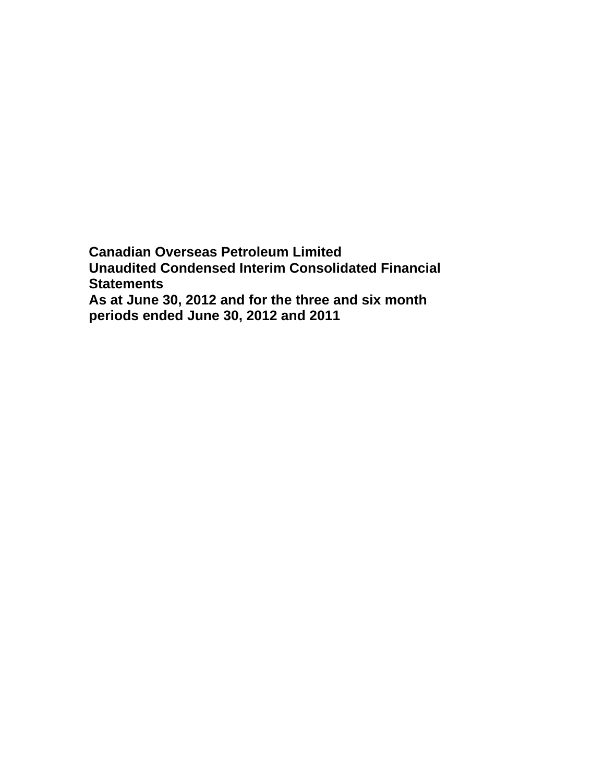**Canadian Overseas Petroleum Limited Unaudited Condensed Interim Consolidated Financial Statements As at June 30, 2012 and for the three and six month periods ended June 30, 2012 and 2011**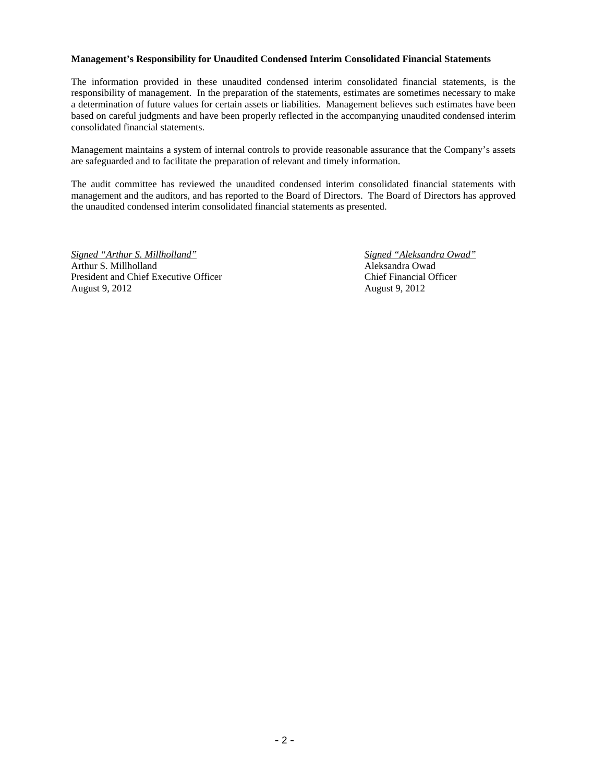#### **Management's Responsibility for Unaudited Condensed Interim Consolidated Financial Statements**

The information provided in these unaudited condensed interim consolidated financial statements, is the responsibility of management. In the preparation of the statements, estimates are sometimes necessary to make a determination of future values for certain assets or liabilities. Management believes such estimates have been based on careful judgments and have been properly reflected in the accompanying unaudited condensed interim consolidated financial statements.

Management maintains a system of internal controls to provide reasonable assurance that the Company's assets are safeguarded and to facilitate the preparation of relevant and timely information.

The audit committee has reviewed the unaudited condensed interim consolidated financial statements with management and the auditors, and has reported to the Board of Directors. The Board of Directors has approved the unaudited condensed interim consolidated financial statements as presented.

*Signed "Arthur S. Millholland" Signed "Aleksandra Owad"*  Arthur S. Millholland **Aleksandra Owad** Aleksandra Owad President and Chief Executive Officer Chief Financial Officer August 9, 2012 August 9, 2012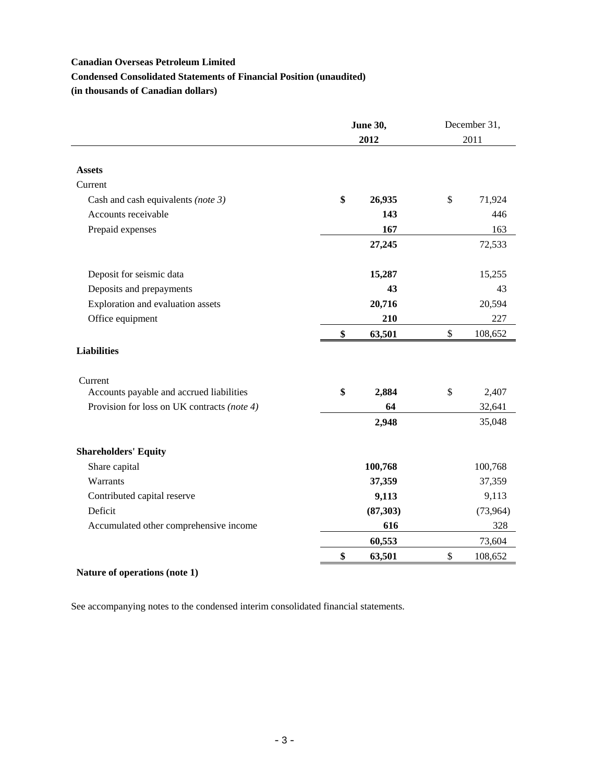#### **Condensed Consolidated Statements of Financial Position (unaudited)**

**(in thousands of Canadian dollars)** 

|                                             | <b>June 30,</b><br>2012 |           | December 31,<br>2011 |           |
|---------------------------------------------|-------------------------|-----------|----------------------|-----------|
|                                             |                         |           |                      |           |
| <b>Assets</b>                               |                         |           |                      |           |
| Current                                     |                         |           |                      |           |
| Cash and cash equivalents (note 3)          | \$                      | 26,935    | \$                   | 71,924    |
| Accounts receivable                         |                         | 143       |                      | 446       |
| Prepaid expenses                            |                         | 167       |                      | 163       |
|                                             |                         | 27,245    |                      | 72,533    |
| Deposit for seismic data                    |                         | 15,287    |                      | 15,255    |
| Deposits and prepayments                    |                         | 43        |                      | 43        |
| Exploration and evaluation assets           |                         | 20,716    |                      | 20,594    |
| Office equipment                            |                         | 210       |                      | 227       |
|                                             | \$                      | 63,501    | \$                   | 108,652   |
| <b>Liabilities</b>                          |                         |           |                      |           |
| Current                                     |                         |           |                      |           |
| Accounts payable and accrued liabilities    | \$                      | 2,884     | \$                   | 2,407     |
| Provision for loss on UK contracts (note 4) |                         | 64        |                      | 32,641    |
|                                             |                         | 2,948     |                      | 35,048    |
| <b>Shareholders' Equity</b>                 |                         |           |                      |           |
| Share capital                               |                         | 100,768   |                      | 100,768   |
| Warrants                                    |                         | 37,359    |                      | 37,359    |
| Contributed capital reserve                 |                         | 9,113     |                      | 9,113     |
| Deficit                                     |                         | (87, 303) |                      | (73, 964) |
| Accumulated other comprehensive income      |                         | 616       |                      | 328       |
|                                             |                         | 60,553    |                      | 73,604    |
|                                             | \$                      | 63,501    | \$                   | 108,652   |

## **Nature of operations (note 1)**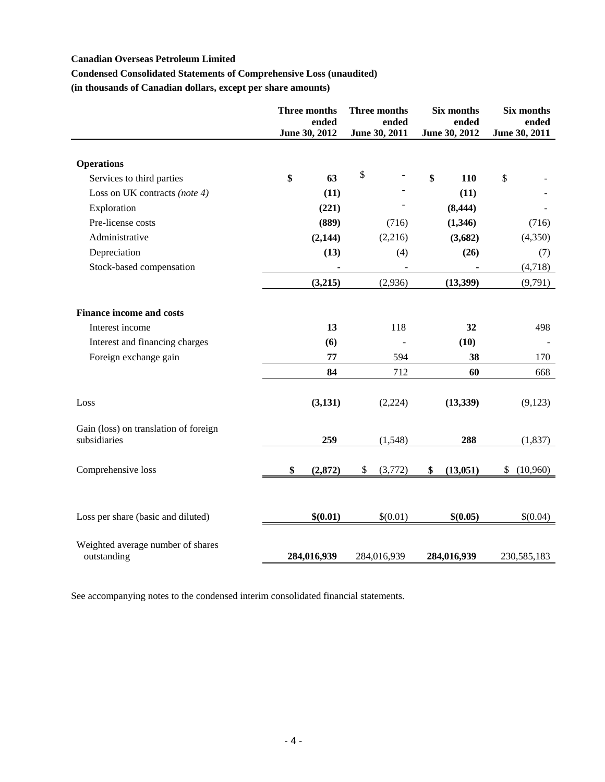## **Condensed Consolidated Statements of Comprehensive Loss (unaudited)**

**(in thousands of Canadian dollars, except per share amounts)** 

|                                                       | Three months<br>ended<br>June 30, 2012 | Three months<br>ended<br>June 30, 2011 | Six months<br>ended<br>June 30, 2012 | Six months<br>ended<br>June 30, 2011 |
|-------------------------------------------------------|----------------------------------------|----------------------------------------|--------------------------------------|--------------------------------------|
| <b>Operations</b>                                     |                                        |                                        |                                      |                                      |
| Services to third parties                             | \$<br>63                               | \$                                     | \$<br>110                            | \$                                   |
| Loss on UK contracts (note 4)                         | (11)                                   |                                        | (11)                                 |                                      |
| Exploration                                           | (221)                                  |                                        | (8, 444)                             |                                      |
| Pre-license costs                                     | (889)                                  | (716)                                  | (1,346)                              | (716)                                |
| Administrative                                        | (2,144)                                | (2,216)                                | (3,682)                              | (4,350)                              |
| Depreciation                                          | (13)                                   | (4)                                    | (26)                                 | (7)                                  |
| Stock-based compensation                              |                                        |                                        |                                      | (4,718)                              |
|                                                       | (3,215)                                | (2,936)                                | (13,399)                             | (9,791)                              |
| <b>Finance income and costs</b>                       |                                        |                                        |                                      |                                      |
| Interest income                                       | 13                                     | 118                                    | 32                                   | 498                                  |
| Interest and financing charges                        | (6)                                    |                                        | (10)                                 |                                      |
| Foreign exchange gain                                 | 77                                     | 594                                    | 38                                   | 170                                  |
|                                                       | 84                                     | 712                                    | 60                                   | 668                                  |
| Loss                                                  | (3, 131)                               | (2,224)                                | (13, 339)                            | (9,123)                              |
| Gain (loss) on translation of foreign<br>subsidiaries | 259                                    | (1,548)                                | 288                                  | (1, 837)                             |
| Comprehensive loss                                    | \$<br>(2,872)                          | (3,772)<br>\$                          | (13,051)<br>\$                       | (10,960)<br>\$                       |
|                                                       |                                        |                                        |                                      |                                      |
| Loss per share (basic and diluted)                    | \$(0.01)                               | \$(0.01)                               | \$(0.05)                             | \$(0.04)                             |
| Weighted average number of shares<br>outstanding      | 284,016,939                            | 284,016,939                            | 284,016,939                          | 230,585,183                          |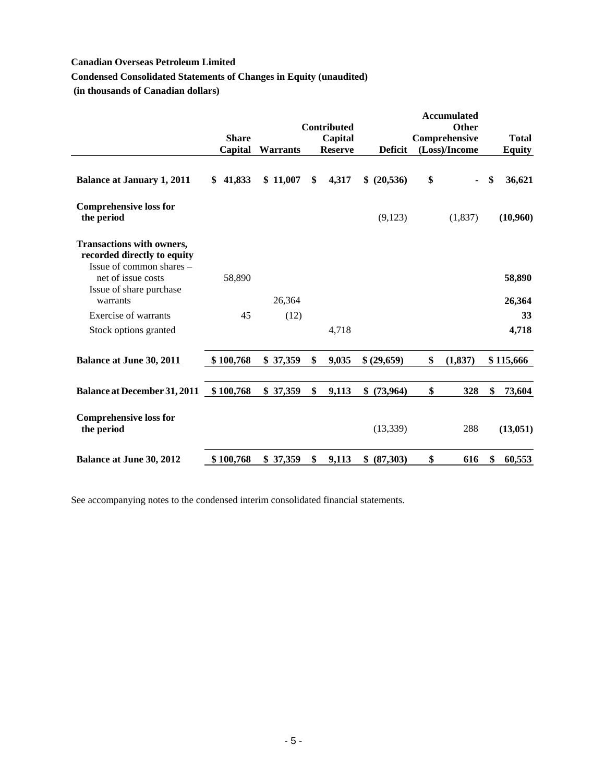# **Condensed Consolidated Statements of Changes in Equity (unaudited)**

 **(in thousands of Canadian dollars)** 

|                                                                                             | <b>Share</b><br>Capital | <b>Warrants</b> | Contributed<br>Capital<br><b>Reserve</b> | <b>Deficit</b>  | <b>Accumulated</b><br><b>Other</b><br>Comprehensive<br>(Loss)/Income | <b>Total</b><br><b>Equity</b> |
|---------------------------------------------------------------------------------------------|-------------------------|-----------------|------------------------------------------|-----------------|----------------------------------------------------------------------|-------------------------------|
| <b>Balance at January 1, 2011</b>                                                           | \$41,833                | \$11,007        | 4,317<br>\$                              | \$ (20,536)     | \$                                                                   | \$<br>36,621                  |
| <b>Comprehensive loss for</b><br>the period                                                 |                         |                 |                                          | (9,123)         | (1,837)                                                              | (10,960)                      |
| <b>Transactions with owners,</b><br>recorded directly to equity<br>Issue of common shares - |                         |                 |                                          |                 |                                                                      |                               |
| net of issue costs<br>Issue of share purchase<br>warrants                                   | 58,890                  | 26,364          |                                          |                 |                                                                      | 58,890<br>26,364              |
| Exercise of warrants                                                                        | 45                      | (12)            |                                          |                 |                                                                      | 33                            |
| Stock options granted                                                                       |                         |                 | 4,718                                    |                 |                                                                      | 4,718                         |
|                                                                                             |                         |                 |                                          |                 |                                                                      |                               |
| <b>Balance at June 30, 2011</b>                                                             | \$100,768               | \$37,359        | \$<br>9,035                              | \$ (29,659)     | \$<br>(1,837)                                                        | \$115,666                     |
| <b>Balance at December 31, 2011</b>                                                         | \$100,768               | \$37,359        | \$<br>9,113                              | \$<br>(73, 964) | \$<br>328                                                            | \$<br>73,604                  |
| <b>Comprehensive loss for</b><br>the period                                                 |                         |                 |                                          | (13, 339)       | 288                                                                  | (13,051)                      |
| <b>Balance at June 30, 2012</b>                                                             | \$100,768               | \$37,359        | \$<br>9,113                              | \$<br>(87,303)  | \$<br>616                                                            | \$<br>60,553                  |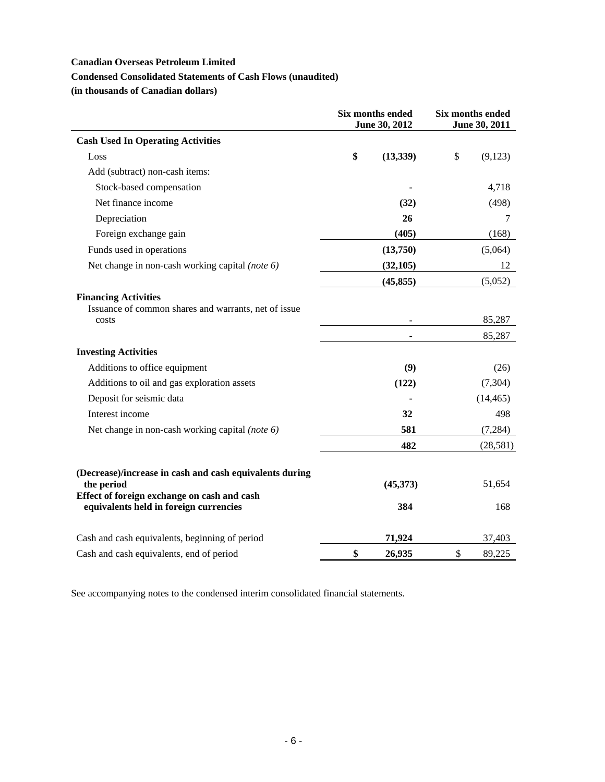## **Condensed Consolidated Statements of Cash Flows (unaudited)**

**(in thousands of Canadian dollars)** 

|                                                                                                                      | <b>Six months ended</b><br>June 30, 2012 |           | Six months ended<br>June 30, 2011 |                  |
|----------------------------------------------------------------------------------------------------------------------|------------------------------------------|-----------|-----------------------------------|------------------|
| <b>Cash Used In Operating Activities</b>                                                                             |                                          |           |                                   |                  |
| Loss                                                                                                                 | \$                                       | (13, 339) | \$                                | (9,123)          |
| Add (subtract) non-cash items:                                                                                       |                                          |           |                                   |                  |
| Stock-based compensation                                                                                             |                                          |           |                                   | 4,718            |
| Net finance income                                                                                                   |                                          | (32)      |                                   | (498)            |
| Depreciation                                                                                                         |                                          | 26        |                                   | 7                |
| Foreign exchange gain                                                                                                |                                          | (405)     |                                   | (168)            |
| Funds used in operations                                                                                             |                                          | (13,750)  |                                   | (5,064)          |
| Net change in non-cash working capital (note 6)                                                                      |                                          | (32, 105) |                                   | 12               |
|                                                                                                                      |                                          | (45, 855) |                                   | (5,052)          |
| <b>Financing Activities</b><br>Issuance of common shares and warrants, net of issue<br>costs                         |                                          |           |                                   | 85,287<br>85,287 |
| <b>Investing Activities</b>                                                                                          |                                          |           |                                   |                  |
| Additions to office equipment                                                                                        |                                          | (9)       |                                   | (26)             |
| Additions to oil and gas exploration assets                                                                          |                                          | (122)     |                                   | (7,304)          |
| Deposit for seismic data                                                                                             |                                          |           |                                   | (14, 465)        |
| Interest income                                                                                                      |                                          | 32        |                                   | 498              |
| Net change in non-cash working capital (note 6)                                                                      |                                          | 581       |                                   | (7,284)          |
|                                                                                                                      |                                          | 482       |                                   | (28, 581)        |
| (Decrease)/increase in cash and cash equivalents during<br>the period<br>Effect of foreign exchange on cash and cash |                                          | (45,373)  |                                   | 51,654           |
| equivalents held in foreign currencies                                                                               |                                          | 384       |                                   | 168              |
| Cash and cash equivalents, beginning of period                                                                       |                                          | 71,924    |                                   | 37,403           |
| Cash and cash equivalents, end of period                                                                             | \$                                       | 26,935    | \$                                | 89,225           |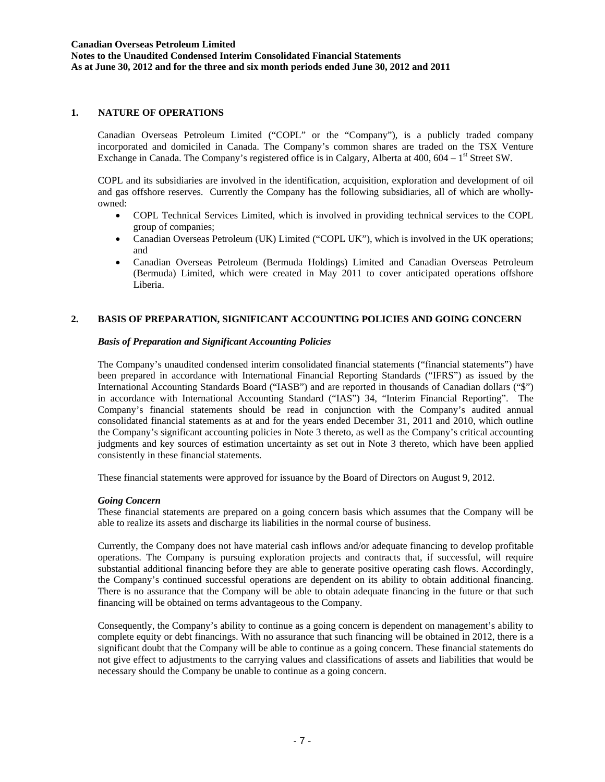**Notes to the Unaudited Condensed Interim Consolidated Financial Statements As at June 30, 2012 and for the three and six month periods ended June 30, 2012 and 2011** 

#### **1. NATURE OF OPERATIONS**

Canadian Overseas Petroleum Limited ("COPL" or the "Company"), is a publicly traded company incorporated and domiciled in Canada. The Company's common shares are traded on the TSX Venture Exchange in Canada. The Company's registered office is in Calgary, Alberta at 400, 604 – 1<sup>st</sup> Street SW.

COPL and its subsidiaries are involved in the identification, acquisition, exploration and development of oil and gas offshore reserves. Currently the Company has the following subsidiaries, all of which are whollyowned:

- COPL Technical Services Limited, which is involved in providing technical services to the COPL group of companies;
- Canadian Overseas Petroleum (UK) Limited ("COPL UK"), which is involved in the UK operations; and
- Canadian Overseas Petroleum (Bermuda Holdings) Limited and Canadian Overseas Petroleum (Bermuda) Limited, which were created in May 2011 to cover anticipated operations offshore Liberia.

### **2. BASIS OF PREPARATION, SIGNIFICANT ACCOUNTING POLICIES AND GOING CONCERN**

#### *Basis of Preparation and Significant Accounting Policies*

The Company's unaudited condensed interim consolidated financial statements ("financial statements") have been prepared in accordance with International Financial Reporting Standards ("IFRS") as issued by the International Accounting Standards Board ("IASB") and are reported in thousands of Canadian dollars ("\$") in accordance with International Accounting Standard ("IAS") 34, "Interim Financial Reporting". The Company's financial statements should be read in conjunction with the Company's audited annual consolidated financial statements as at and for the years ended December 31, 2011 and 2010, which outline the Company's significant accounting policies in Note 3 thereto, as well as the Company's critical accounting judgments and key sources of estimation uncertainty as set out in Note 3 thereto, which have been applied consistently in these financial statements.

These financial statements were approved for issuance by the Board of Directors on August 9, 2012.

#### *Going Concern*

These financial statements are prepared on a going concern basis which assumes that the Company will be able to realize its assets and discharge its liabilities in the normal course of business.

Currently, the Company does not have material cash inflows and/or adequate financing to develop profitable operations. The Company is pursuing exploration projects and contracts that, if successful, will require substantial additional financing before they are able to generate positive operating cash flows. Accordingly, the Company's continued successful operations are dependent on its ability to obtain additional financing. There is no assurance that the Company will be able to obtain adequate financing in the future or that such financing will be obtained on terms advantageous to the Company.

Consequently, the Company's ability to continue as a going concern is dependent on management's ability to complete equity or debt financings. With no assurance that such financing will be obtained in 2012, there is a significant doubt that the Company will be able to continue as a going concern. These financial statements do not give effect to adjustments to the carrying values and classifications of assets and liabilities that would be necessary should the Company be unable to continue as a going concern.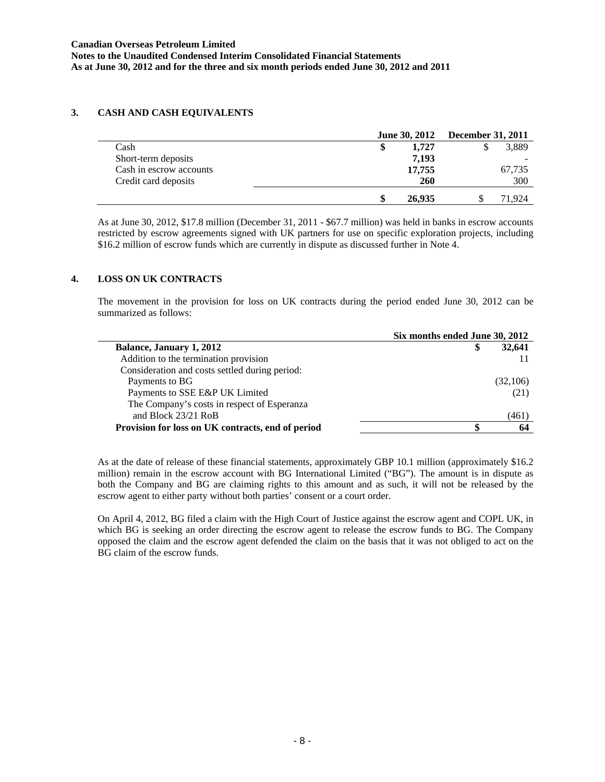**Notes to the Unaudited Condensed Interim Consolidated Financial Statements As at June 30, 2012 and for the three and six month periods ended June 30, 2012 and 2011** 

### **3. CASH AND CASH EQUIVALENTS**

|                         | <b>June 30, 2012</b> | <b>December 31, 2011</b> |  |  |
|-------------------------|----------------------|--------------------------|--|--|
| Cash                    | 1.727<br>\$          | 3,889                    |  |  |
| Short-term deposits     | 7,193                |                          |  |  |
| Cash in escrow accounts | 17,755               | 67,735                   |  |  |
| Credit card deposits    | 260                  | 300                      |  |  |
|                         | \$<br>26,935         | 71.924                   |  |  |

As at June 30, 2012, \$17.8 million (December 31, 2011 - \$67.7 million) was held in banks in escrow accounts restricted by escrow agreements signed with UK partners for use on specific exploration projects, including \$16.2 million of escrow funds which are currently in dispute as discussed further in Note 4.

## **4. LOSS ON UK CONTRACTS**

The movement in the provision for loss on UK contracts during the period ended June 30, 2012 can be summarized as follows:

|                                                   | Six months ended June 30, 2012 |  |
|---------------------------------------------------|--------------------------------|--|
| Balance, January 1, 2012                          | 32,641                         |  |
| Addition to the termination provision             |                                |  |
| Consideration and costs settled during period:    |                                |  |
| Payments to BG                                    | (32,106)                       |  |
| Payments to SSE E&P UK Limited                    | (21)                           |  |
| The Company's costs in respect of Esperanza       |                                |  |
| and Block $23/21$ RoB                             | (461)                          |  |
| Provision for loss on UK contracts, end of period | 64                             |  |

As at the date of release of these financial statements, approximately GBP 10.1 million (approximately \$16.2 million) remain in the escrow account with BG International Limited ("BG"). The amount is in dispute as both the Company and BG are claiming rights to this amount and as such, it will not be released by the escrow agent to either party without both parties' consent or a court order.

On April 4, 2012, BG filed a claim with the High Court of Justice against the escrow agent and COPL UK, in which BG is seeking an order directing the escrow agent to release the escrow funds to BG. The Company opposed the claim and the escrow agent defended the claim on the basis that it was not obliged to act on the BG claim of the escrow funds.